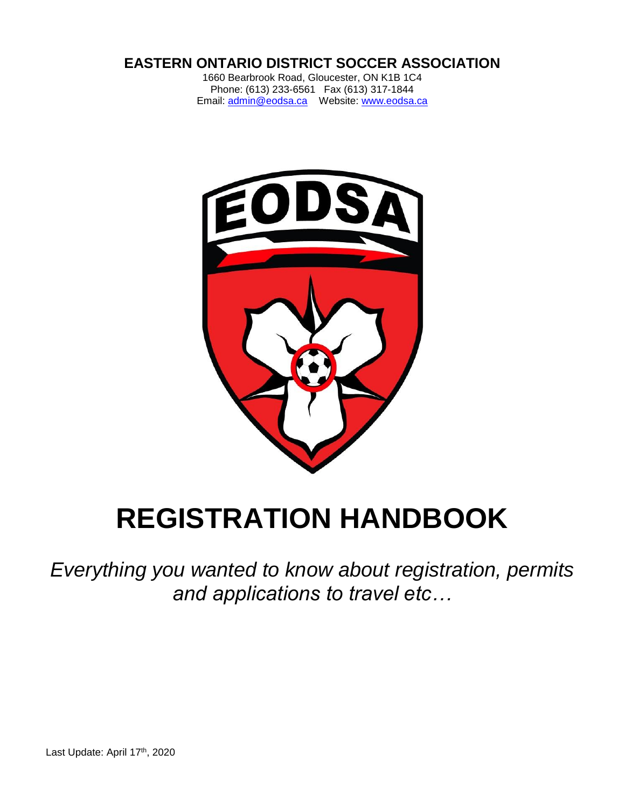# **EASTERN ONTARIO DISTRICT SOCCER ASSOCIATION**

1660 Bearbrook Road, Gloucester, ON K1B 1C4 Phone: (613) 233-6561 Fax (613) 317-1844 Email: [admin@eodsa.ca](mailto:admin@eodsa.ca) Website: [www.eodsa.ca](http://www.eodsa.ca/)



# **REGISTRATION HANDBOOK**

*Everything you wanted to know about registration, permits and applications to travel etc…*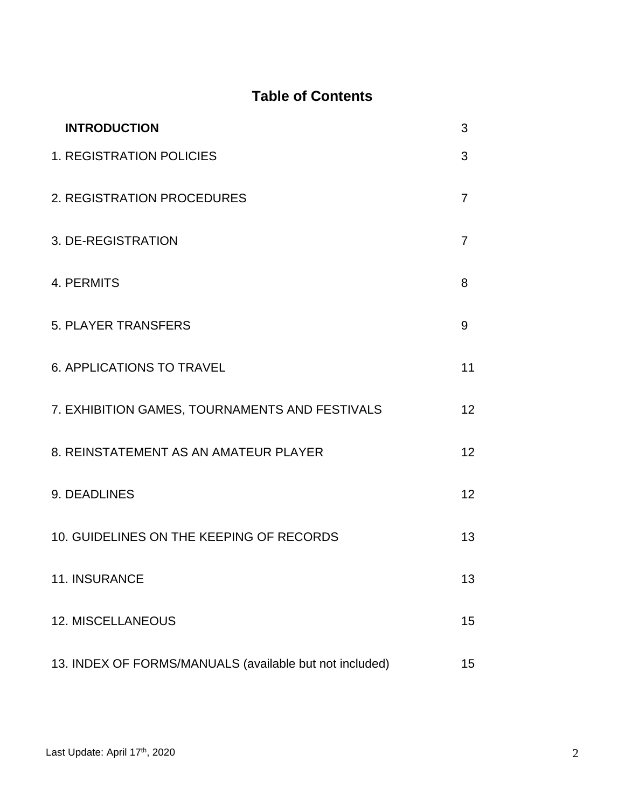# **Table of Contents**

| <b>INTRODUCTION</b>                                     | 3               |
|---------------------------------------------------------|-----------------|
| <b>1. REGISTRATION POLICIES</b>                         | 3               |
| 2. REGISTRATION PROCEDURES                              | 7               |
| 3. DE-REGISTRATION                                      | 7               |
| 4. PERMITS                                              | 8               |
| <b>5. PLAYER TRANSFERS</b>                              | 9               |
| <b>6. APPLICATIONS TO TRAVEL</b>                        | 11              |
| 7. EXHIBITION GAMES, TOURNAMENTS AND FESTIVALS          | 12 <sup>2</sup> |
| 8. REINSTATEMENT AS AN AMATEUR PLAYER                   | 12 <sup>2</sup> |
| 9. DEADLINES                                            | 12              |
| 10. GUIDELINES ON THE KEEPING OF RECORDS                | 13              |
| 11. INSURANCE                                           | 13              |
| 12. MISCELLANEOUS                                       | 15 <sub>1</sub> |
| 13. INDEX OF FORMS/MANUALS (available but not included) | 15              |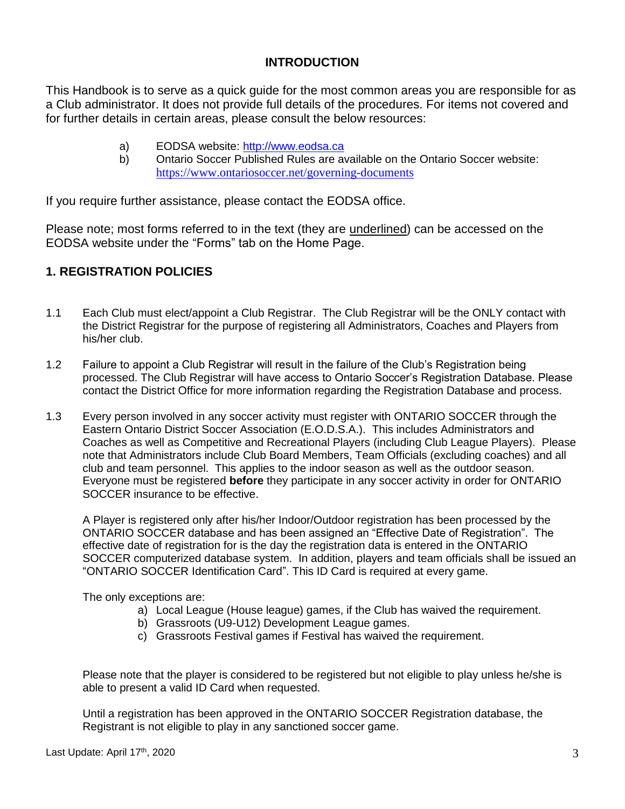# **INTRODUCTION**

This Handbook is to serve as a quick guide for the most common areas you are responsible for as a Club administrator. It does not provide full details of the procedures. For items not covered and for further details in certain areas, please consult the below resources:

- a) EODSA website: [http://www.eodsa.ca](http://www.eodsa.ca/)
- b) Ontario Soccer Published Rules are available on the Ontario Soccer website: <https://www.ontariosoccer.net/governing-documents>

If you require further assistance, please contact the EODSA office.

Please note; most forms referred to in the text (they are underlined) can be accessed on the EODSA website under the "Forms" tab on the Home Page.

# **1. REGISTRATION POLICIES**

- 1.1 Each Club must elect/appoint a Club Registrar. The Club Registrar will be the ONLY contact with the District Registrar for the purpose of registering all Administrators, Coaches and Players from his/her club.
- 1.2 Failure to appoint a Club Registrar will result in the failure of the Club's Registration being processed. The Club Registrar will have access to Ontario Soccer's Registration Database. Please contact the District Office for more information regarding the Registration Database and process.
- 1.3 Every person involved in any soccer activity must register with ONTARIO SOCCER through the Eastern Ontario District Soccer Association (E.O.D.S.A.). This includes Administrators and Coaches as well as Competitive and Recreational Players (including Club League Players). Please note that Administrators include Club Board Members, Team Officials (excluding coaches) and all club and team personnel. This applies to the indoor season as well as the outdoor season. Everyone must be registered **before** they participate in any soccer activity in order for ONTARIO SOCCER insurance to be effective.

A Player is registered only after his/her Indoor/Outdoor registration has been processed by the ONTARIO SOCCER database and has been assigned an "Effective Date of Registration". The effective date of registration for is the day the registration data is entered in the ONTARIO SOCCER computerized database system. In addition, players and team officials shall be issued an "ONTARIO SOCCER Identification Card". This ID Card is required at every game.

The only exceptions are:

- a) Local League (House league) games, if the Club has waived the requirement.
- b) Grassroots (U9-U12) Development League games.
- c) Grassroots Festival games if Festival has waived the requirement.

Please note that the player is considered to be registered but not eligible to play unless he/she is able to present a valid ID Card when requested.

Until a registration has been approved in the ONTARIO SOCCER Registration database, the Registrant is not eligible to play in any sanctioned soccer game.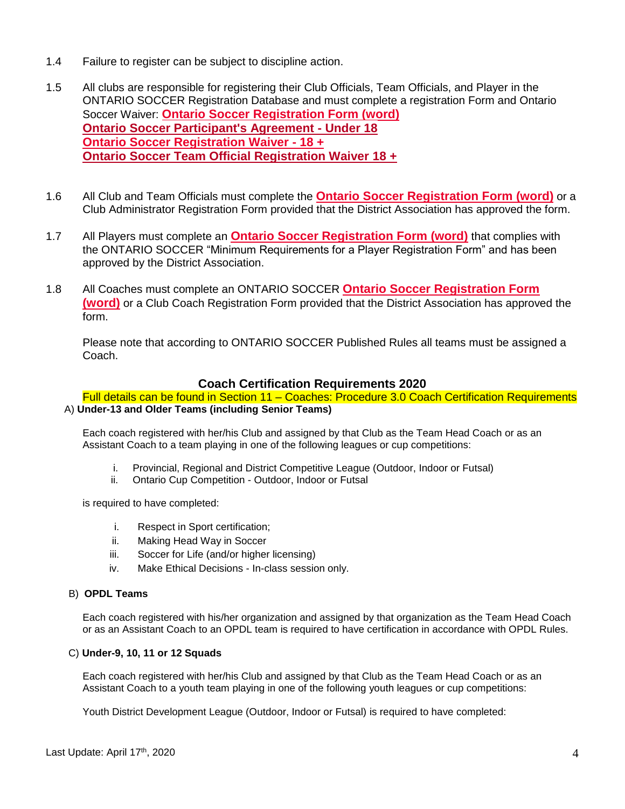- 1.4 Failure to register can be subject to discipline action.
- 1.5 All clubs are responsible for registering their Club Officials, Team Officials, and Player in the ONTARIO SOCCER Registration Database and must complete a registration Form and Ontario Soccer Waiver: **[Ontario Soccer Registration Form \(word\)](https://cdn2.sportngin.com/attachments/document/0119/8043/ONTARIOSOCCER_-_Registration_Form__Player_Team_Official_Administrator_Volunteer_.docx) [Ontario Soccer Participant's Agreement -](https://cdn2.sportngin.com/attachments/document/0119/8045/ONTARIOSOCCER_-_Participant_s_Agreement__-U18_.pdf) Under 18 [Ontario Soccer Registration Waiver -](https://cdn3.sportngin.com/attachments/document/0119/8046/ONTARIOSOCCER_-_Registration_Waiver__18__.pdf) 18 + [Ontario Soccer Team Official Registration Waiver](https://cdn4.sportngin.com/attachments/document/68fd-1752476/ONTARIOSOCCER_-_Participants_Registration_Waiver__18__.pdf#_ga=2.82630805.2834143.1580227792-1825163969.1579019805) 18 +**
- 1.6 All Club and Team Officials must complete the **[Ontario Soccer Registration Form \(word\)](https://cdn2.sportngin.com/attachments/document/0119/8043/ONTARIOSOCCER_-_Registration_Form__Player_Team_Official_Administrator_Volunteer_.docx)** or a Club Administrator Registration Form provided that the District Association has approved the form.
- 1.7 All Players must complete an **[Ontario Soccer Registration Form \(word\)](https://cdn2.sportngin.com/attachments/document/0119/8043/ONTARIOSOCCER_-_Registration_Form__Player_Team_Official_Administrator_Volunteer_.docx)** that complies with the ONTARIO SOCCER "Minimum Requirements for a Player Registration Form" and has been approved by the District Association.
- 1.8 All Coaches must complete an ONTARIO SOCCER **[Ontario Soccer Registration Form](https://cdn2.sportngin.com/attachments/document/0119/8043/ONTARIOSOCCER_-_Registration_Form__Player_Team_Official_Administrator_Volunteer_.docx)  [\(word\)](https://cdn2.sportngin.com/attachments/document/0119/8043/ONTARIOSOCCER_-_Registration_Form__Player_Team_Official_Administrator_Volunteer_.docx)** or a Club Coach Registration Form provided that the District Association has approved the form.

Please note that according to ONTARIO SOCCER Published Rules all teams must be assigned a Coach.

# **Coach Certification Requirements 2020**

#### Full details can be found in Section 11 – Coaches: Procedure 3.0 Coach Certification Requirements A) **Under-13 and Older Teams (including Senior Teams)**

Each coach registered with her/his Club and assigned by that Club as the Team Head Coach or as an Assistant Coach to a team playing in one of the following leagues or cup competitions:

- i. Provincial, Regional and District Competitive League (Outdoor, Indoor or Futsal)
- ii. Ontario Cup Competition Outdoor, Indoor or Futsal

is required to have completed:

- i. Respect in Sport certification;
- ii. Making Head Way in Soccer
- iii. Soccer for Life (and/or higher licensing)
- iv. Make Ethical Decisions In-class session only.

#### B) **OPDL Teams**

Each coach registered with his/her organization and assigned by that organization as the Team Head Coach or as an Assistant Coach to an OPDL team is required to have certification in accordance with OPDL Rules.

#### C) **Under-9, 10, 11 or 12 Squads**

Each coach registered with her/his Club and assigned by that Club as the Team Head Coach or as an Assistant Coach to a youth team playing in one of the following youth leagues or cup competitions:

Youth District Development League (Outdoor, Indoor or Futsal) is required to have completed: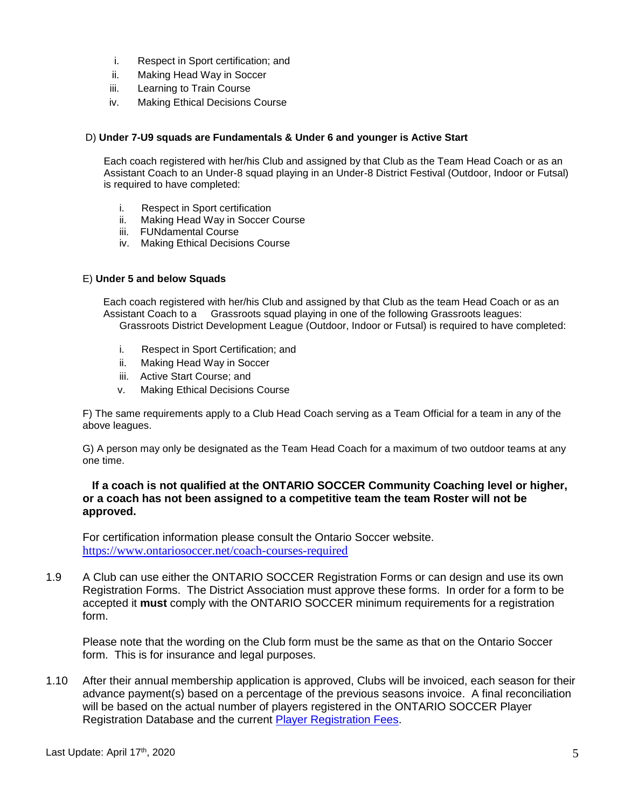- i. Respect in Sport certification; and
- ii. Making Head Way in Soccer
- iii. Learning to Train Course
- iv. Making Ethical Decisions Course

#### D) **Under 7-U9 squads are Fundamentals & Under 6 and younger is Active Start**

Each coach registered with her/his Club and assigned by that Club as the Team Head Coach or as an Assistant Coach to an Under-8 squad playing in an Under-8 District Festival (Outdoor, Indoor or Futsal) is required to have completed:

- i. Respect in Sport certification
- ii. Making Head Way in Soccer Course
- iii. FUNdamental Course
- iv. Making Ethical Decisions Course

#### E) **Under 5 and below Squads**

Each coach registered with her/his Club and assigned by that Club as the team Head Coach or as an Assistant Coach to a Grassroots squad playing in one of the following Grassroots leagues: Grassroots District Development League (Outdoor, Indoor or Futsal) is required to have completed:

- i. Respect in Sport Certification; and
- ii. Making Head Way in Soccer
- iii. Active Start Course; and
- v. Making Ethical Decisions Course

F) The same requirements apply to a Club Head Coach serving as a Team Official for a team in any of the above leagues.

G) A person may only be designated as the Team Head Coach for a maximum of two outdoor teams at any one time.

#### **If a coach is not qualified at the ONTARIO SOCCER Community Coaching level or higher, or a coach has not been assigned to a competitive team the team Roster will not be approved.**

For certification information please consult the Ontario Soccer website. <https://www.ontariosoccer.net/coach-courses-required>

1.9 A Club can use either the ONTARIO SOCCER Registration Forms or can design and use its own Registration Forms. The District Association must approve these forms. In order for a form to be accepted it **must** comply with the ONTARIO SOCCER minimum requirements for a registration form.

Please note that the wording on the Club form must be the same as that on the Ontario Soccer form. This is for insurance and legal purposes.

1.10 After their annual membership application is approved, Clubs will be invoiced, each season for their advance payment(s) based on a percentage of the previous seasons invoice. A final reconciliation will be based on the actual number of players registered in the ONTARIO SOCCER Player Registration Database and the current [Player Registration Fees.](https://eodsa.e2esoccer.com/DisplayPage.aspx?PageID=105)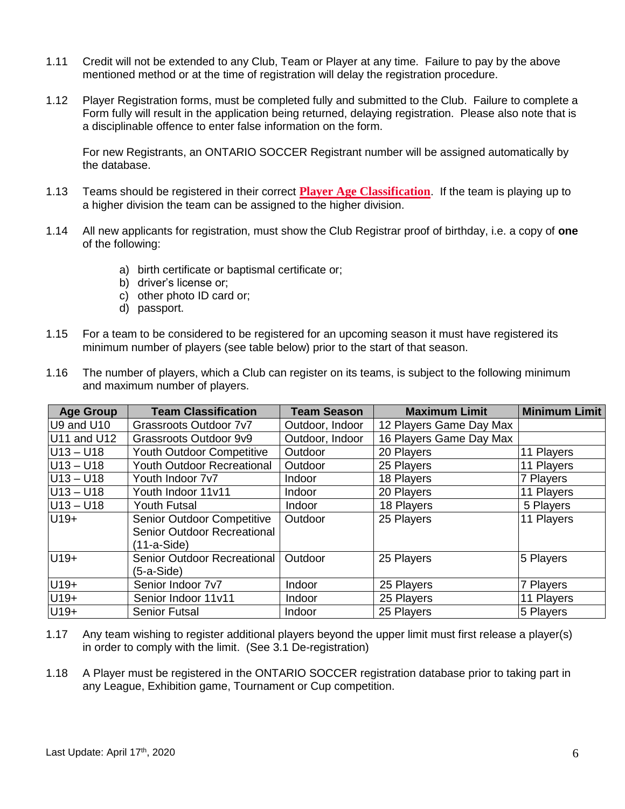- 1.11 Credit will not be extended to any Club, Team or Player at any time. Failure to pay by the above mentioned method or at the time of registration will delay the registration procedure.
- 1.12 Player Registration forms, must be completed fully and submitted to the Club. Failure to complete a Form fully will result in the application being returned, delaying registration. Please also note that is a disciplinable offence to enter false information on the form.

For new Registrants, an ONTARIO SOCCER Registrant number will be assigned automatically by the database.

- 1.13 Teams should be registered in their correct **[Player Age Classification](https://cdn1.sportngin.com/attachments/document/0119/8047/New_-_RD_-_Age_Classification__2019-2021__24_.pdf)**. If the team is playing up to a higher division the team can be assigned to the higher division.
- 1.14 All new applicants for registration, must show the Club Registrar proof of birthday, i.e. a copy of **one** of the following:
	- a) birth certificate or baptismal certificate or;
	- b) driver's license or;
	- c) other photo ID card or;
	- d) passport.
- 1.15 For a team to be considered to be registered for an upcoming season it must have registered its minimum number of players (see table below) prior to the start of that season.

| <b>Age Group</b> | <b>Team Classification</b>        | <b>Team Season</b> | <b>Maximum Limit</b>    | <b>Minimum Limit</b> |
|------------------|-----------------------------------|--------------------|-------------------------|----------------------|
| U9 and U10       | Grassroots Outdoor 7v7            | Outdoor, Indoor    | 12 Players Game Day Max |                      |
| U11 and U12      | Grassroots Outdoor 9v9            | Outdoor, Indoor    | 16 Players Game Day Max |                      |
| $U13 - U18$      | Youth Outdoor Competitive         | Outdoor            | 20 Players              | 11 Players           |
| $ U13 - U18 $    | <b>Youth Outdoor Recreational</b> | Outdoor            | 25 Players              | 11 Players           |
| U13-U18          | Youth Indoor 7v7                  | Indoor             | 18 Players              | 7 Players            |
| $ U13 - U18 $    | Youth Indoor 11v11                | Indoor             | 20 Players              | 11 Players           |
| $ U13 - U18 $    | <b>Youth Futsal</b>               | Indoor             | 18 Players              | 5 Players            |
| $U19+$           | Senior Outdoor Competitive        | Outdoor            | 25 Players              | 11 Players           |
|                  | Senior Outdoor Recreational       |                    |                         |                      |
|                  | (11-a-Side)                       |                    |                         |                      |
| $U19+$           | Senior Outdoor Recreational       | Outdoor            | 25 Players              | 5 Players            |
|                  | (5-a-Side)                        |                    |                         |                      |
| $U19+$           | Senior Indoor 7v7                 | Indoor             | 25 Players              | 7 Players            |
| $U19+$           | Senior Indoor 11v11               | Indoor             | 25 Players              | 11 Players           |
| U <sub>19+</sub> | <b>Senior Futsal</b>              | Indoor             | 25 Players              | 5 Players            |

1.16 The number of players, which a Club can register on its teams, is subject to the following minimum and maximum number of players.

- 1.17 Any team wishing to register additional players beyond the upper limit must first release a player(s) in order to comply with the limit. (See 3.1 De-registration)
- 1.18 A Player must be registered in the ONTARIO SOCCER registration database prior to taking part in any League, Exhibition game, Tournament or Cup competition.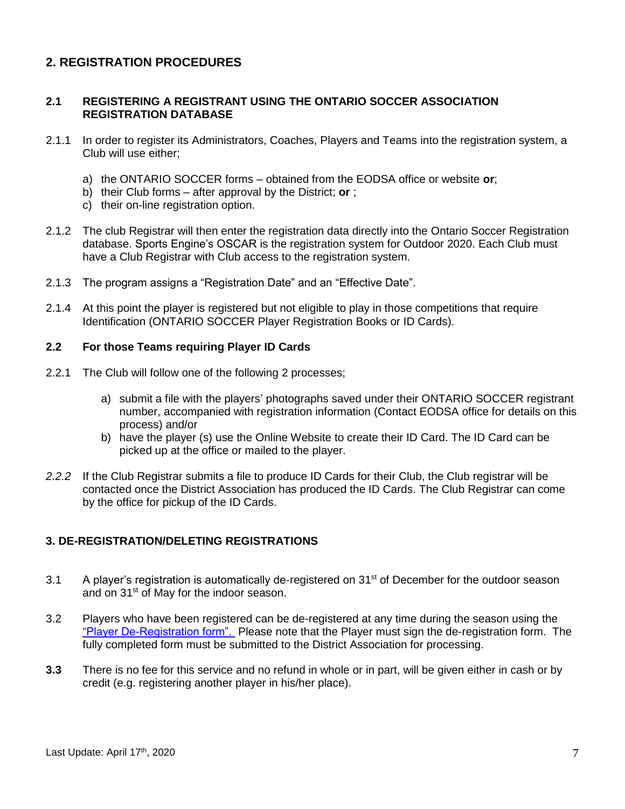# **2. REGISTRATION PROCEDURES**

#### **2.1 REGISTERING A REGISTRANT USING THE ONTARIO SOCCER ASSOCIATION REGISTRATION DATABASE**

- 2.1.1 In order to register its Administrators, Coaches, Players and Teams into the registration system, a Club will use either;
	- a) the ONTARIO SOCCER forms obtained from the EODSA office or website **or**;
	- b) their Club forms after approval by the District; **or** ;
	- c) their on-line registration option.
- 2.1.2 The club Registrar will then enter the registration data directly into the Ontario Soccer Registration database. Sports Engine's OSCAR is the registration system for Outdoor 2020. Each Club must have a Club Registrar with Club access to the registration system.
- 2.1.3 The program assigns a "Registration Date" and an "Effective Date".
- 2.1.4 At this point the player is registered but not eligible to play in those competitions that require Identification (ONTARIO SOCCER Player Registration Books or ID Cards).

#### **2.2 For those Teams requiring Player ID Cards**

- 2.2.1 The Club will follow one of the following 2 processes;
	- a) submit a file with the players' photographs saved under their ONTARIO SOCCER registrant number, accompanied with registration information (Contact EODSA office for details on this process) and/or
	- b) have the player (s) use the Online Website to create their ID Card. The ID Card can be picked up at the office or mailed to the player.
- 2.2.2 If the Club Registrar submits a file to produce ID Cards for their Club, the Club registrar will be contacted once the District Association has produced the ID Cards. The Club Registrar can come by the office for pickup of the ID Cards.

# **3. DE-REGISTRATION/DELETING REGISTRATIONS**

- 3.1 A player's registration is automatically de-registered on  $31<sup>st</sup>$  of December for the outdoor season and on 31<sup>st</sup> of May for the indoor season.
- 3.2 Players who have been registered can be de-registered at any time during the season using the ["Player De-Registration form".](https://cdn4.sportngin.com/attachments/document/0127/5412/TransferDeregistration_Form__May_2019_.pdf) Please note that the Player must sign the de-registration form. The fully completed form must be submitted to the District Association for processing.
- **3.3** There is no fee for this service and no refund in whole or in part, will be given either in cash or by credit (e.g. registering another player in his/her place).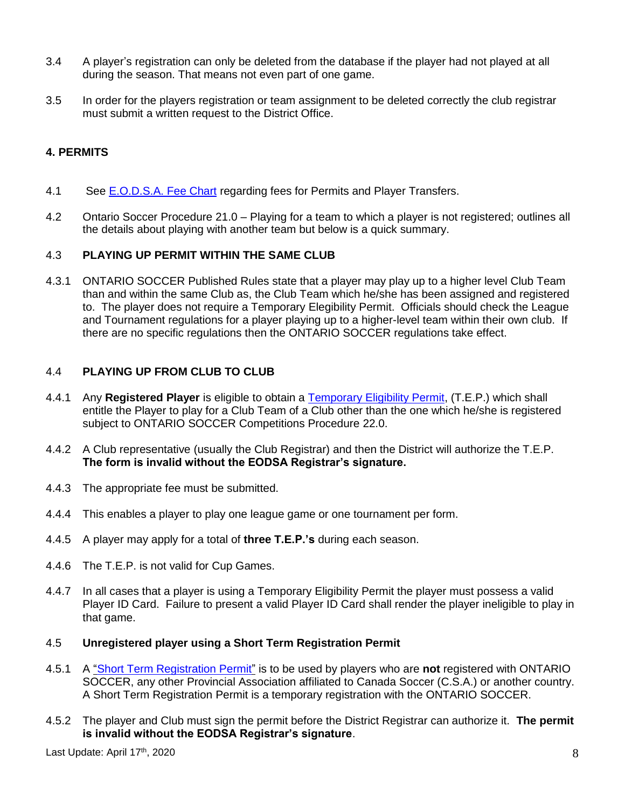- 3.4 A player's registration can only be deleted from the database if the player had not played at all during the season. That means not even part of one game.
- 3.5 In order for the players registration or team assignment to be deleted correctly the club registrar must submit a written request to the District Office.

# **4. PERMITS**

- 4.1 See [E.O.D.S.A. Fee Chart](http://eodsa.ca/DisplayPage.aspx?PageID=98) regarding fees for Permits and Player Transfers.
- 4.2 Ontario Soccer Procedure 21.0 Playing for a team to which a player is not registered; outlines all the details about playing with another team but below is a quick summary.

# 4.3 **PLAYING UP PERMIT WITHIN THE SAME CLUB**

4.3.1 ONTARIO SOCCER Published Rules state that a player may play up to a higher level Club Team than and within the same Club as, the Club Team which he/she has been assigned and registered to. The player does not require a Temporary Elegibility Permit. Officials should check the League and Tournament regulations for a player playing up to a higher-level team within their own club. If there are no specific regulations then the ONTARIO SOCCER regulations take effect.

# 4.4 **PLAYING UP FROM CLUB TO CLUB**

- 4.4.1 Any **Registered Player** is eligible to obtain a [Temporary Eligibility Permit,](https://cdn1.sportngin.com/attachments/document/0120/9255/ONTARIOSOCCER_-_Temporary_Eligbility_Permit__TEP_.pdf) (T.E.P.) which shall entitle the Player to play for a Club Team of a Club other than the one which he/she is registered subject to ONTARIO SOCCER Competitions Procedure 22.0.
- 4.4.2 A Club representative (usually the Club Registrar) and then the District will authorize the T.E.P. **The form is invalid without the EODSA Registrar's signature.**
- 4.4.3 The appropriate fee must be submitted.
- 4.4.4 This enables a player to play one league game or one tournament per form.
- 4.4.5 A player may apply for a total of **three T.E.P.'s** during each season.
- 4.4.6 The T.E.P. is not valid for Cup Games.
- 4.4.7 In all cases that a player is using a Temporary Eligibility Permit the player must possess a valid Player ID Card. Failure to present a valid Player ID Card shall render the player ineligible to play in that game.

#### 4.5 **Unregistered player using a Short Term Registration Permit**

- 4.5.1 A ["Short Term Registration Permit"](https://cdn4.sportngin.com/attachments/document/0119/9417/STRP_Form__May_2019_.pdf) is to be used by players who are **not** registered with ONTARIO SOCCER, any other Provincial Association affiliated to Canada Soccer (C.S.A.) or another country. A Short Term Registration Permit is a temporary registration with the ONTARIO SOCCER.
- 4.5.2 The player and Club must sign the permit before the District Registrar can authorize it. **The permit is invalid without the EODSA Registrar's signature**.

Last Update: April 17th, 2020 , 2020  $\sim$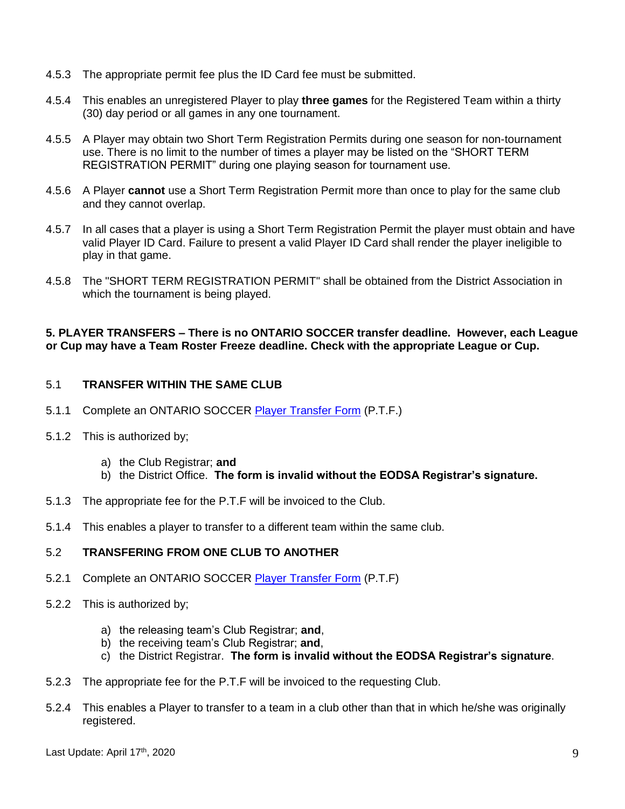- 4.5.3 The appropriate permit fee plus the ID Card fee must be submitted.
- 4.5.4 This enables an unregistered Player to play **three games** for the Registered Team within a thirty (30) day period or all games in any one tournament.
- 4.5.5 A Player may obtain two Short Term Registration Permits during one season for non-tournament use. There is no limit to the number of times a player may be listed on the "SHORT TERM REGISTRATION PERMIT" during one playing season for tournament use.
- 4.5.6 A Player **cannot** use a Short Term Registration Permit more than once to play for the same club and they cannot overlap.
- 4.5.7 In all cases that a player is using a Short Term Registration Permit the player must obtain and have valid Player ID Card. Failure to present a valid Player ID Card shall render the player ineligible to play in that game.
- 4.5.8 The "SHORT TERM REGISTRATION PERMIT" shall be obtained from the District Association in which the tournament is being played.

#### **5. PLAYER TRANSFERS – There is no ONTARIO SOCCER transfer deadline. However, each League or Cup may have a Team Roster Freeze deadline. Check with the appropriate League or Cup.**

# 5.1 **TRANSFER WITHIN THE SAME CLUB**

- 5.1.1 Complete an ONTARIO SOCCER [Player Transfer Form](https://cdn4.sportngin.com/attachments/document/0127/5414/TransferDeregistration_Form__May_2019_.docx) (P.T.F.)
- 5.1.2 This is authorized by;
	- a) the Club Registrar; **and**
	- b) the District Office. **The form is invalid without the EODSA Registrar's signature.**
- 5.1.3 The appropriate fee for the P.T.F will be invoiced to the Club.
- 5.1.4 This enables a player to transfer to a different team within the same club.

#### 5.2 **TRANSFERING FROM ONE CLUB TO ANOTHER**

- 5.2.1 Complete an ONTARIO SOCCER [Player Transfer Form](https://cdn4.sportngin.com/attachments/document/0127/5414/TransferDeregistration_Form__May_2019_.docx) (P.T.F)
- 5.2.2 This is authorized by;
	- a) the releasing team's Club Registrar; **and**,
	- b) the receiving team's Club Registrar; **and**,
	- c) the District Registrar. **The form is invalid without the EODSA Registrar's signature**.
- 5.2.3 The appropriate fee for the P.T.F will be invoiced to the requesting Club.
- 5.2.4 This enables a Player to transfer to a team in a club other than that in which he/she was originally registered.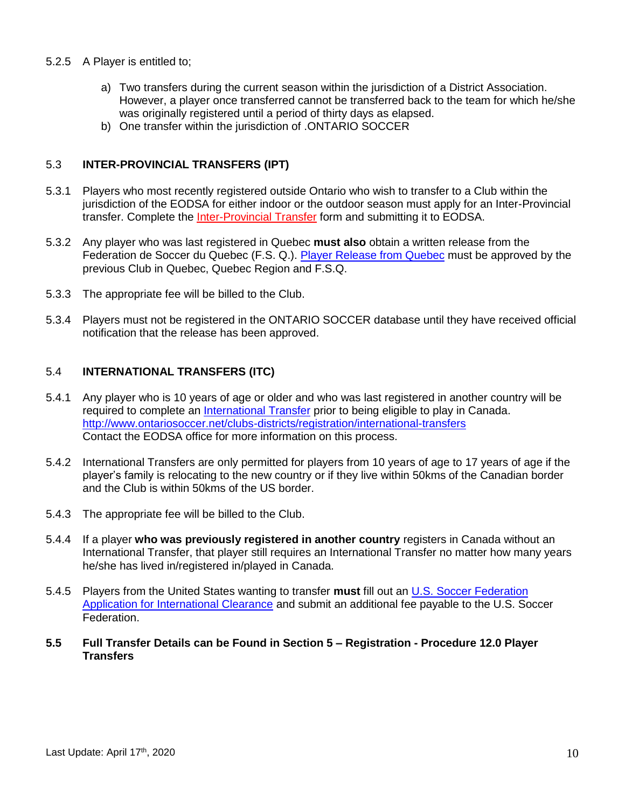- 5.2.5 A Player is entitled to;
	- a) Two transfers during the current season within the jurisdiction of a District Association. However, a player once transferred cannot be transferred back to the team for which he/she was originally registered until a period of thirty days as elapsed.
	- b) One transfer within the jurisdiction of .ONTARIO SOCCER

# 5.3 **INTER-PROVINCIAL TRANSFERS (IPT)**

- 5.3.1 Players who most recently registered outside Ontario who wish to transfer to a Club within the jurisdiction of the EODSA for either indoor or the outdoor season must apply for an Inter-Provincial transfer. Complete the [Inter-Provincial Transfer](http://www.ontariosoccer.net/images/publications/2016/Governance/Forms_and_Documents/InterProvincial_Transfer_Form_Jan.2016.pdf) form and submitting it to EODSA.
- 5.3.2 Any player who was last registered in Quebec **must also** obtain a written release from the Federation de Soccer du Quebec (F.S. Q.). [Player Release from Quebec](http://eodsa.ca/Downloads/2/Forms/DEMANDE-DE-TRANSFERT-INTER-2010_r%C3%A9vis%C3%A9.doc) must be approved by the previous Club in Quebec, Quebec Region and F.S.Q.
- 5.3.3 The appropriate fee will be billed to the Club.
- 5.3.4 Players must not be registered in the ONTARIO SOCCER database until they have received official notification that the release has been approved.

# 5.4 **INTERNATIONAL TRANSFERS (ITC)**

- 5.4.1 Any player who is 10 years of age or older and who was last registered in another country will be required to complete an [International Transfer](http://ctms.ontariosoccer.net/) prior to being eligible to play in Canada. <http://www.ontariosoccer.net/clubs-districts/registration/international-transfers> Contact the EODSA office for more information on this process.
- 5.4.2 International Transfers are only permitted for players from 10 years of age to 17 years of age if the player's family is relocating to the new country or if they live within 50kms of the Canadian border and the Club is within 50kms of the US border.
- 5.4.3 The appropriate fee will be billed to the Club.
- 5.4.4 If a player **who was previously registered in another country** registers in Canada without an International Transfer, that player still requires an International Transfer no matter how many years he/she has lived in/registered in/played in Canada.
- 5.4.5 Players from the United States wanting to transfer **must** fill out an [U.S. Soccer Federation](http://eodsa.ca/Downloads/2/Forms/USSF%20International%20Clearance%20Request%20Form%20ITC%203-0304.pdf)  [Application for International Clearance](http://eodsa.ca/Downloads/2/Forms/USSF%20International%20Clearance%20Request%20Form%20ITC%203-0304.pdf) and submit an additional fee payable to the U.S. Soccer Federation.
- **5.5 Full Transfer Details can be Found in Section 5 – Registration - Procedure 12.0 Player Transfers**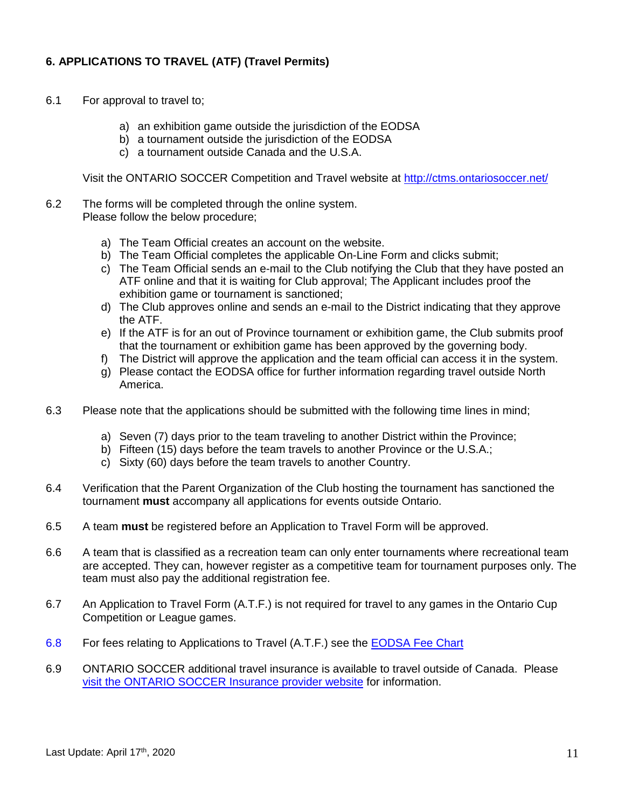# **6. APPLICATIONS TO TRAVEL (ATF) (Travel Permits)**

- 6.1 For approval to travel to;
	- a) an exhibition game outside the jurisdiction of the EODSA
	- b) a tournament outside the jurisdiction of the EODSA
	- c) a tournament outside Canada and the U.S.A.

Visit the ONTARIO SOCCER Competition and Travel website at<http://ctms.ontariosoccer.net/>

- 6.2 The forms will be completed through the online system. Please follow the below procedure;
	- a) The Team Official creates an account on the website.
	- b) The Team Official completes the applicable On-Line Form and clicks submit;
	- c) The Team Official sends an e-mail to the Club notifying the Club that they have posted an ATF online and that it is waiting for Club approval; The Applicant includes proof the exhibition game or tournament is sanctioned;
	- d) The Club approves online and sends an e-mail to the District indicating that they approve the ATF.
	- e) If the ATF is for an out of Province tournament or exhibition game, the Club submits proof that the tournament or exhibition game has been approved by the governing body.
	- f) The District will approve the application and the team official can access it in the system.
	- g) Please contact the EODSA office for further information regarding travel outside North America.
- 6.3 Please note that the applications should be submitted with the following time lines in mind;
	- a) Seven (7) days prior to the team traveling to another District within the Province;
	- b) Fifteen (15) days before the team travels to another Province or the U.S.A.;
	- c) Sixty (60) days before the team travels to another Country.
- 6.4 Verification that the Parent Organization of the Club hosting the tournament has sanctioned the tournament **must** accompany all applications for events outside Ontario.
- 6.5 A team **must** be registered before an Application to Travel Form will be approved.
- 6.6 A team that is classified as a recreation team can only enter tournaments where recreational team are accepted. They can, however register as a competitive team for tournament purposes only. The team must also pay the additional registration fee.
- 6.7 An Application to Travel Form (A.T.F.) is not required for travel to any games in the Ontario Cup Competition or League games.
- 6.8 For fees relating to Applications to Travel (A.T.F.) see the [EODSA Fee Chart](http://eodsa.ca/DisplayPage.aspx?PageID=100)
- 6.9 ONTARIO SOCCER additional travel insurance is available to travel outside of Canada. Please [visit the ONTARIO SOCCER](https://www.hubinternational.com/en-ca/programs-associations/ontario-soccer/) Insurance provider website for information.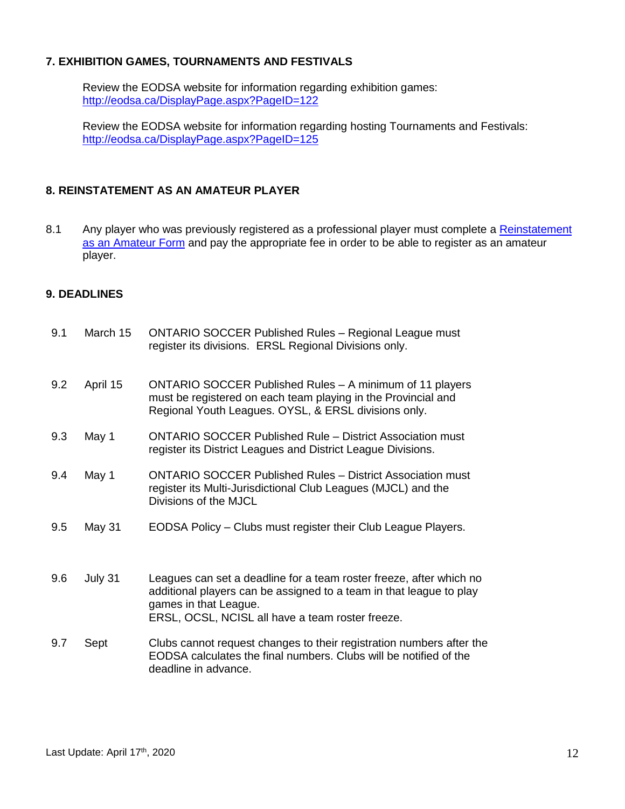## **7. EXHIBITION GAMES, TOURNAMENTS AND FESTIVALS**

Review the EODSA website for information regarding exhibition games: <http://eodsa.ca/DisplayPage.aspx?PageID=122>

Review the EODSA website for information regarding hosting Tournaments and Festivals: <http://eodsa.ca/DisplayPage.aspx?PageID=125>

# **8. REINSTATEMENT AS AN AMATEUR PLAYER**

8.1 Any player who was previously registered as a professional player must complete a Reinstatement [as an Amateur Form](https://cdn4.sportngin.com/attachments/document/0119/8050/ONTARIOSOCCER__Reinstatement_Application_Form.docx) and pay the appropriate fee in order to be able to register as an amateur player.

# **9. DEADLINES**

| 9.1 | March 15 | <b>ONTARIO SOCCER Published Rules - Regional League must</b><br>register its divisions. ERSL Regional Divisions only.                                                                                                   |
|-----|----------|-------------------------------------------------------------------------------------------------------------------------------------------------------------------------------------------------------------------------|
| 9.2 | April 15 | ONTARIO SOCCER Published Rules - A minimum of 11 players<br>must be registered on each team playing in the Provincial and<br>Regional Youth Leagues. OYSL, & ERSL divisions only.                                       |
| 9.3 | May 1    | <b>ONTARIO SOCCER Published Rule – District Association must</b><br>register its District Leagues and District League Divisions.                                                                                        |
| 9.4 | May 1    | <b>ONTARIO SOCCER Published Rules - District Association must</b><br>register its Multi-Jurisdictional Club Leagues (MJCL) and the<br>Divisions of the MJCL                                                             |
| 9.5 | May 31   | EODSA Policy – Clubs must register their Club League Players.                                                                                                                                                           |
| 9.6 | July 31  | Leagues can set a deadline for a team roster freeze, after which no<br>additional players can be assigned to a team in that league to play<br>games in that League.<br>ERSL, OCSL, NCISL all have a team roster freeze. |
| 9.7 | Sept     | Clubs cannot request changes to their registration numbers after the<br>EODSA calculates the final numbers. Clubs will be notified of the<br>deadline in advance.                                                       |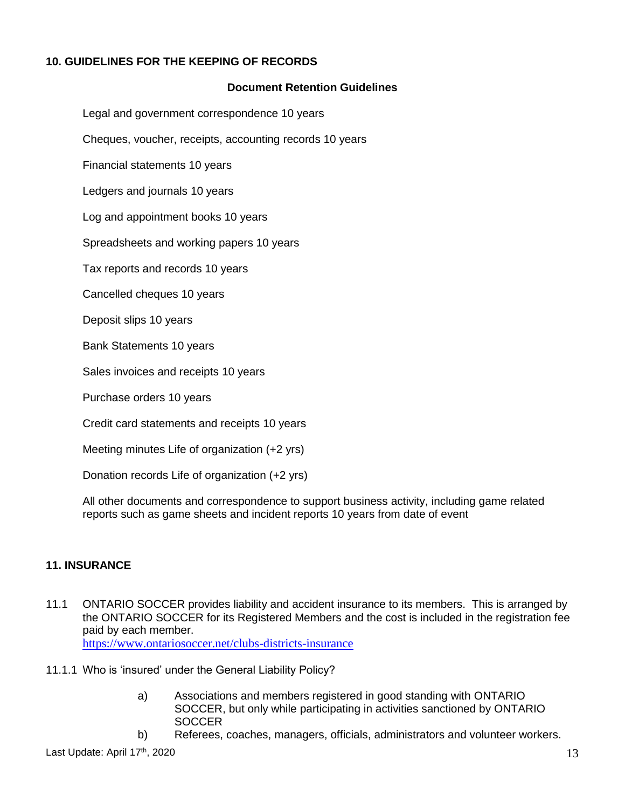# **10. GUIDELINES FOR THE KEEPING OF RECORDS**

#### **Document Retention Guidelines**

Legal and government correspondence 10 years

Cheques, voucher, receipts, accounting records 10 years

Financial statements 10 years

Ledgers and journals 10 years

Log and appointment books 10 years

Spreadsheets and working papers 10 years

Tax reports and records 10 years

Cancelled cheques 10 years

Deposit slips 10 years

Bank Statements 10 years

Sales invoices and receipts 10 years

Purchase orders 10 years

Credit card statements and receipts 10 years

Meeting minutes Life of organization (+2 yrs)

Donation records Life of organization (+2 yrs)

All other documents and correspondence to support business activity, including game related reports such as game sheets and incident reports 10 years from date of event

#### **11. INSURANCE**

11.1 ONTARIO SOCCER provides liability and accident insurance to its members. This is arranged by the ONTARIO SOCCER for its Registered Members and the cost is included in the registration fee paid by each member.

<https://www.ontariosoccer.net/clubs-districts-insurance>

- 11.1.1 Who is 'insured' under the General Liability Policy?
	- a) Associations and members registered in good standing with ONTARIO SOCCER, but only while participating in activities sanctioned by ONTARIO **SOCCER**
	- b) Referees, coaches, managers, officials, administrators and volunteer workers.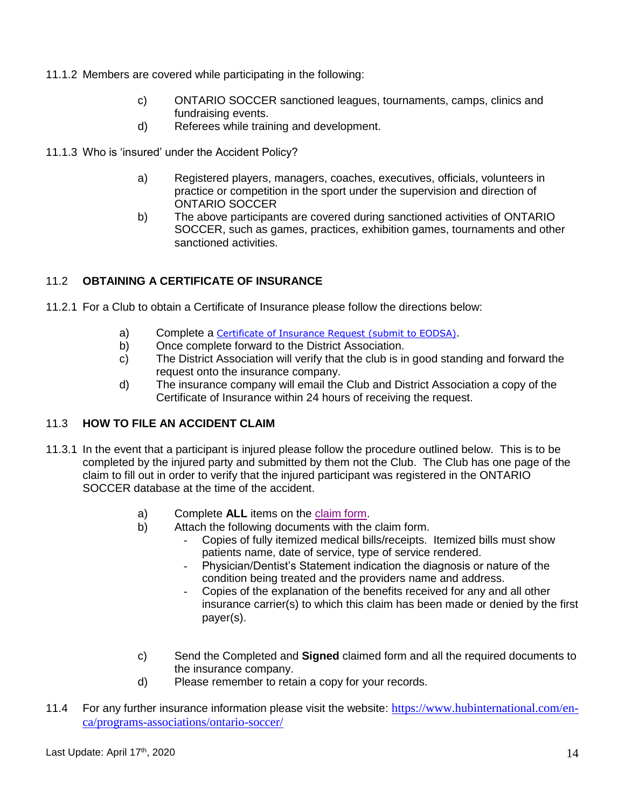- 11.1.2 Members are covered while participating in the following:
	- c) ONTARIO SOCCER sanctioned leagues, tournaments, camps, clinics and fundraising events.
	- d) Referees while training and development.
- 11.1.3 Who is 'insured' under the Accident Policy?
	- a) Registered players, managers, coaches, executives, officials, volunteers in practice or competition in the sport under the supervision and direction of ONTARIO SOCCER
	- b) The above participants are covered during sanctioned activities of ONTARIO SOCCER, such as games, practices, exhibition games, tournaments and other sanctioned activities.

# 11.2 **OBTAINING A CERTIFICATE OF INSURANCE**

- 11.2.1 For a Club to obtain a Certificate of Insurance please follow the directions below:
	- a) Complete a Certificate of Insurance Request (submit to EODSA).
	- b) Once complete forward to the District Association.
	- c) The District Association will verify that the club is in good standing and forward the request onto the insurance company.
	- d) The insurance company will email the Club and District Association a copy of the Certificate of Insurance within 24 hours of receiving the request.

#### 11.3 **HOW TO FILE AN ACCIDENT CLAIM**

- 11.3.1 In the event that a participant is injured please follow the procedure outlined below. This is to be completed by the injured party and submitted by them not the Club. The Club has one page of the claim to fill out in order to verify that the injured participant was registered in the ONTARIO SOCCER database at the time of the accident.
	- a) Complete **ALL** items on the [claim form.](https://cdn3.sportngin.com/attachments/document/0132/9087/Ontario_Soccer_-_Accident_Claim_Forms__5pages_-_Sept.1.2017_.pdf)
	- b) Attach the following documents with the claim form.
		- Copies of fully itemized medical bills/receipts. Itemized bills must show patients name, date of service, type of service rendered.
		- Physician/Dentist's Statement indication the diagnosis or nature of the condition being treated and the providers name and address.
		- Copies of the explanation of the benefits received for any and all other insurance carrier(s) to which this claim has been made or denied by the first payer(s).
	- c) Send the Completed and **Signed** claimed form and all the required documents to the insurance company.
	- d) Please remember to retain a copy for your records.
- 11.4 For any further insurance information please visit the website: [https://www.hubinternational.com/en](https://www.hubinternational.com/en-ca/programs-associations/ontario-soccer/)[ca/programs-associations/ontario-soccer/](https://www.hubinternational.com/en-ca/programs-associations/ontario-soccer/)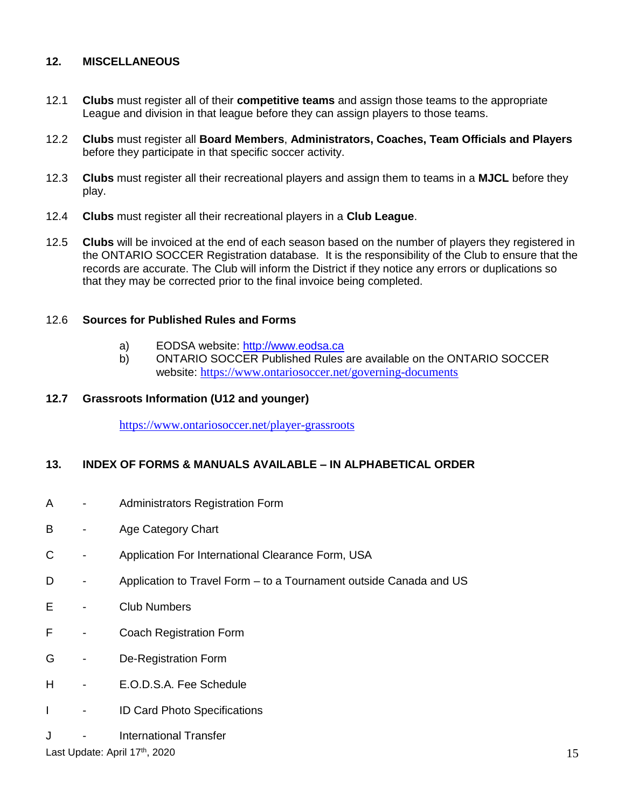# **12. MISCELLANEOUS**

- 12.1 **Clubs** must register all of their **competitive teams** and assign those teams to the appropriate League and division in that league before they can assign players to those teams.
- 12.2 **Clubs** must register all **Board Members**, **Administrators, Coaches, Team Officials and Players** before they participate in that specific soccer activity.
- 12.3 **Clubs** must register all their recreational players and assign them to teams in a **MJCL** before they play.
- 12.4 **Clubs** must register all their recreational players in a **Club League**.
- 12.5 **Clubs** will be invoiced at the end of each season based on the number of players they registered in the ONTARIO SOCCER Registration database. It is the responsibility of the Club to ensure that the records are accurate. The Club will inform the District if they notice any errors or duplications so that they may be corrected prior to the final invoice being completed.

# 12.6 **Sources for Published Rules and Forms**

- a) EODSA website: [http://www.eodsa.ca](http://www.eodsa.ca/)
- b) ONTARIO SOCCER Published Rules are available on the ONTARIO SOCCER website: <https://www.ontariosoccer.net/governing-documents>

#### **12.7 Grassroots Information (U12 and younger)**

<https://www.ontariosoccer.net/player-grassroots>

### **13. INDEX OF FORMS & MANUALS AVAILABLE – IN ALPHABETICAL ORDER**

- A Administrators Registration Form
- B Age Category Chart
- C Application For International Clearance Form, USA
- D Application to Travel Form to a Tournament outside Canada and US
- E Club Numbers
- F Coach Registration Form
- G De-Registration Form
- H E.O.D.S.A. Fee Schedule
- I ID Card Photo Specifications
- J International Transfer

Last Update: April 17th, 2020 , 2020  $15$